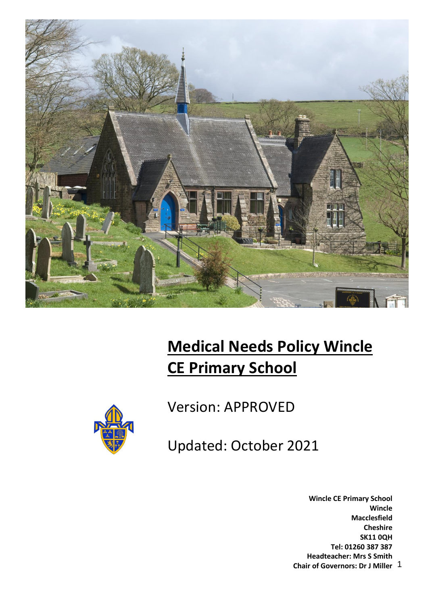

# **Medical Needs Policy Wincle CE Primary School**



Version: APPROVED

Updated: October 2021

1 **Chair of Governors: Dr J Miller Wincle CE Primary School Wincle Macclesfield Cheshire SK11 0QH Tel: 01260 387 387 Headteacher: Mrs S Smith**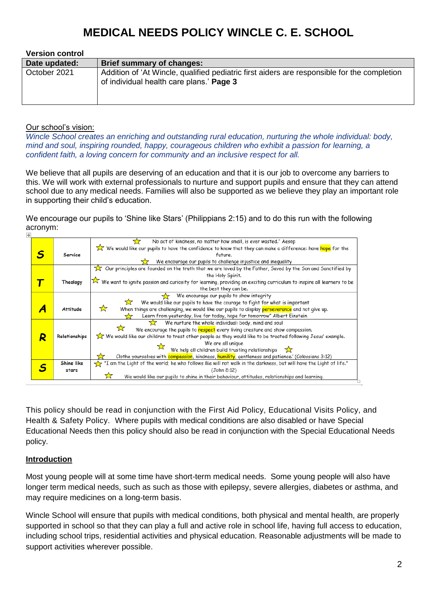| <b>Version control</b> |                                                                                                                                         |
|------------------------|-----------------------------------------------------------------------------------------------------------------------------------------|
| Date updated:          | <b>Brief summary of changes:</b>                                                                                                        |
| October 2021           | Addition of 'At Wincle, qualified pediatric first aiders are responsible for the completion<br>of individual health care plans.' Page 3 |

#### Our school's vision:

*Wincle School creates an enriching and outstanding rural education, nurturing the whole individual: body, mind and soul, inspiring rounded, happy, courageous children who exhibit a passion for learning, a confident faith, a loving concern for community and an inclusive respect for all.*

We believe that all pupils are deserving of an education and that it is our job to overcome any barriers to this. We will work with external professionals to nurture and support pupils and ensure that they can attend school due to any medical needs. Families will also be supported as we believe they play an important role in supporting their child's education.

We encourage our pupils to 'Shine like Stars' (Philippians 2:15) and to do this run with the following acronym:

| No act of kindness, no matter how small, is ever wasted." Aesop<br>57<br>We would like our pupils to have the confidence to know that they can make a difference: have hope for the<br>Service<br>future.<br>We encourage our pupils to challenge injustice and inequality<br>Our principles are founded on the truth that we are loved by the Father, Saved by the Son and Sanctified by<br>the Holy Spirit.<br>We want to ignite passion and curiosity for learning, providing an exciting curriculum to inspire all learners to be<br>Theology<br>the best they can be.<br>We encourage our pupils to show integrity<br>We would like our pupils to have the courage to fight for what is important<br>*ੱ<br>☆<br>When things are challenging, we would like our pupils to display perseverance and not give up.<br>Attitude<br>Learn from yesterday, live for today, hope for tomorrow" Albert Einstein<br>We nurture the whole individual: body, mind and soul<br>We encourage the pupils to respect every living creature and show compassion.<br>We would like our children to treat other people as they would like to be treated following Jesus' example.<br>Relationships<br>Q<br>We are all unique<br>We help all children build trusting relationships $\sum$<br>Clothe yourselves with compassion, kindness, humility, gentleness and patience.' (Colossians 3:12)<br>"I am the Light of the world; he who follows Me will not walk in the darkness, but will have the Light of life."<br>Shine like<br>(John 8:12)<br>stars<br>We would like our pupils to shine in their behaviour, attitudes, relationships and learning. |  |  |  |  |  |  |  |
|--------------------------------------------------------------------------------------------------------------------------------------------------------------------------------------------------------------------------------------------------------------------------------------------------------------------------------------------------------------------------------------------------------------------------------------------------------------------------------------------------------------------------------------------------------------------------------------------------------------------------------------------------------------------------------------------------------------------------------------------------------------------------------------------------------------------------------------------------------------------------------------------------------------------------------------------------------------------------------------------------------------------------------------------------------------------------------------------------------------------------------------------------------------------------------------------------------------------------------------------------------------------------------------------------------------------------------------------------------------------------------------------------------------------------------------------------------------------------------------------------------------------------------------------------------------------------------------------------------------------------------------------|--|--|--|--|--|--|--|
|                                                                                                                                                                                                                                                                                                                                                                                                                                                                                                                                                                                                                                                                                                                                                                                                                                                                                                                                                                                                                                                                                                                                                                                                                                                                                                                                                                                                                                                                                                                                                                                                                                            |  |  |  |  |  |  |  |
|                                                                                                                                                                                                                                                                                                                                                                                                                                                                                                                                                                                                                                                                                                                                                                                                                                                                                                                                                                                                                                                                                                                                                                                                                                                                                                                                                                                                                                                                                                                                                                                                                                            |  |  |  |  |  |  |  |
|                                                                                                                                                                                                                                                                                                                                                                                                                                                                                                                                                                                                                                                                                                                                                                                                                                                                                                                                                                                                                                                                                                                                                                                                                                                                                                                                                                                                                                                                                                                                                                                                                                            |  |  |  |  |  |  |  |
|                                                                                                                                                                                                                                                                                                                                                                                                                                                                                                                                                                                                                                                                                                                                                                                                                                                                                                                                                                                                                                                                                                                                                                                                                                                                                                                                                                                                                                                                                                                                                                                                                                            |  |  |  |  |  |  |  |
|                                                                                                                                                                                                                                                                                                                                                                                                                                                                                                                                                                                                                                                                                                                                                                                                                                                                                                                                                                                                                                                                                                                                                                                                                                                                                                                                                                                                                                                                                                                                                                                                                                            |  |  |  |  |  |  |  |
|                                                                                                                                                                                                                                                                                                                                                                                                                                                                                                                                                                                                                                                                                                                                                                                                                                                                                                                                                                                                                                                                                                                                                                                                                                                                                                                                                                                                                                                                                                                                                                                                                                            |  |  |  |  |  |  |  |
|                                                                                                                                                                                                                                                                                                                                                                                                                                                                                                                                                                                                                                                                                                                                                                                                                                                                                                                                                                                                                                                                                                                                                                                                                                                                                                                                                                                                                                                                                                                                                                                                                                            |  |  |  |  |  |  |  |
|                                                                                                                                                                                                                                                                                                                                                                                                                                                                                                                                                                                                                                                                                                                                                                                                                                                                                                                                                                                                                                                                                                                                                                                                                                                                                                                                                                                                                                                                                                                                                                                                                                            |  |  |  |  |  |  |  |
|                                                                                                                                                                                                                                                                                                                                                                                                                                                                                                                                                                                                                                                                                                                                                                                                                                                                                                                                                                                                                                                                                                                                                                                                                                                                                                                                                                                                                                                                                                                                                                                                                                            |  |  |  |  |  |  |  |
|                                                                                                                                                                                                                                                                                                                                                                                                                                                                                                                                                                                                                                                                                                                                                                                                                                                                                                                                                                                                                                                                                                                                                                                                                                                                                                                                                                                                                                                                                                                                                                                                                                            |  |  |  |  |  |  |  |
|                                                                                                                                                                                                                                                                                                                                                                                                                                                                                                                                                                                                                                                                                                                                                                                                                                                                                                                                                                                                                                                                                                                                                                                                                                                                                                                                                                                                                                                                                                                                                                                                                                            |  |  |  |  |  |  |  |
|                                                                                                                                                                                                                                                                                                                                                                                                                                                                                                                                                                                                                                                                                                                                                                                                                                                                                                                                                                                                                                                                                                                                                                                                                                                                                                                                                                                                                                                                                                                                                                                                                                            |  |  |  |  |  |  |  |
|                                                                                                                                                                                                                                                                                                                                                                                                                                                                                                                                                                                                                                                                                                                                                                                                                                                                                                                                                                                                                                                                                                                                                                                                                                                                                                                                                                                                                                                                                                                                                                                                                                            |  |  |  |  |  |  |  |
|                                                                                                                                                                                                                                                                                                                                                                                                                                                                                                                                                                                                                                                                                                                                                                                                                                                                                                                                                                                                                                                                                                                                                                                                                                                                                                                                                                                                                                                                                                                                                                                                                                            |  |  |  |  |  |  |  |
|                                                                                                                                                                                                                                                                                                                                                                                                                                                                                                                                                                                                                                                                                                                                                                                                                                                                                                                                                                                                                                                                                                                                                                                                                                                                                                                                                                                                                                                                                                                                                                                                                                            |  |  |  |  |  |  |  |
|                                                                                                                                                                                                                                                                                                                                                                                                                                                                                                                                                                                                                                                                                                                                                                                                                                                                                                                                                                                                                                                                                                                                                                                                                                                                                                                                                                                                                                                                                                                                                                                                                                            |  |  |  |  |  |  |  |
|                                                                                                                                                                                                                                                                                                                                                                                                                                                                                                                                                                                                                                                                                                                                                                                                                                                                                                                                                                                                                                                                                                                                                                                                                                                                                                                                                                                                                                                                                                                                                                                                                                            |  |  |  |  |  |  |  |
|                                                                                                                                                                                                                                                                                                                                                                                                                                                                                                                                                                                                                                                                                                                                                                                                                                                                                                                                                                                                                                                                                                                                                                                                                                                                                                                                                                                                                                                                                                                                                                                                                                            |  |  |  |  |  |  |  |
|                                                                                                                                                                                                                                                                                                                                                                                                                                                                                                                                                                                                                                                                                                                                                                                                                                                                                                                                                                                                                                                                                                                                                                                                                                                                                                                                                                                                                                                                                                                                                                                                                                            |  |  |  |  |  |  |  |
|                                                                                                                                                                                                                                                                                                                                                                                                                                                                                                                                                                                                                                                                                                                                                                                                                                                                                                                                                                                                                                                                                                                                                                                                                                                                                                                                                                                                                                                                                                                                                                                                                                            |  |  |  |  |  |  |  |
|                                                                                                                                                                                                                                                                                                                                                                                                                                                                                                                                                                                                                                                                                                                                                                                                                                                                                                                                                                                                                                                                                                                                                                                                                                                                                                                                                                                                                                                                                                                                                                                                                                            |  |  |  |  |  |  |  |

This policy should be read in conjunction with the First Aid Policy, Educational Visits Policy, and Health & Safety Policy. Where pupils with medical conditions are also disabled or have Special Educational Needs then this policy should also be read in conjunction with the Special Educational Needs policy.

#### **Introduction**

Most young people will at some time have short-term medical needs. Some young people will also have longer term medical needs, such as such as those with epilepsy, severe allergies, diabetes or asthma, and may require medicines on a long-term basis.

Wincle School will ensure that pupils with medical conditions, both physical and mental health, are properly supported in school so that they can play a full and active role in school life, having full access to education, including school trips, residential activities and physical education. Reasonable adjustments will be made to support activities wherever possible.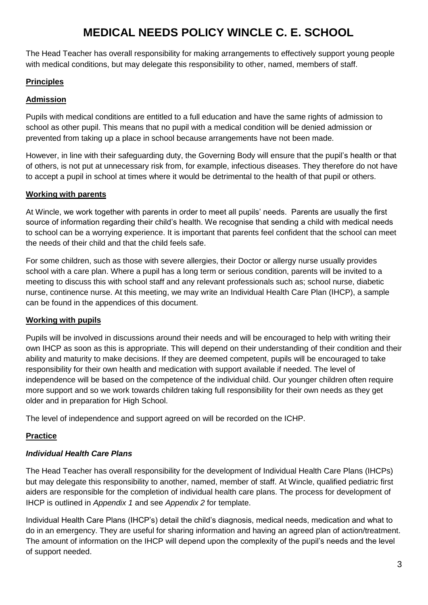The Head Teacher has overall responsibility for making arrangements to effectively support young people with medical conditions, but may delegate this responsibility to other, named, members of staff.

#### **Principles**

#### **Admission**

Pupils with medical conditions are entitled to a full education and have the same rights of admission to school as other pupil. This means that no pupil with a medical condition will be denied admission or prevented from taking up a place in school because arrangements have not been made.

However, in line with their safeguarding duty, the Governing Body will ensure that the pupil's health or that of others, is not put at unnecessary risk from, for example, infectious diseases. They therefore do not have to accept a pupil in school at times where it would be detrimental to the health of that pupil or others.

#### **Working with parents**

At Wincle, we work together with parents in order to meet all pupils' needs. Parents are usually the first source of information regarding their child's health. We recognise that sending a child with medical needs to school can be a worrying experience. It is important that parents feel confident that the school can meet the needs of their child and that the child feels safe.

For some children, such as those with severe allergies, their Doctor or allergy nurse usually provides school with a care plan. Where a pupil has a long term or serious condition, parents will be invited to a meeting to discuss this with school staff and any relevant professionals such as; school nurse, diabetic nurse, continence nurse. At this meeting, we may write an Individual Health Care Plan (IHCP), a sample can be found in the appendices of this document.

#### **Working with pupils**

Pupils will be involved in discussions around their needs and will be encouraged to help with writing their own IHCP as soon as this is appropriate. This will depend on their understanding of their condition and their ability and maturity to make decisions. If they are deemed competent, pupils will be encouraged to take responsibility for their own health and medication with support available if needed. The level of independence will be based on the competence of the individual child. Our younger children often require more support and so we work towards children taking full responsibility for their own needs as they get older and in preparation for High School.

The level of independence and support agreed on will be recorded on the ICHP.

#### **Practice**

#### *Individual Health Care Plans*

The Head Teacher has overall responsibility for the development of Individual Health Care Plans (IHCPs) but may delegate this responsibility to another, named, member of staff. At Wincle, qualified pediatric first aiders are responsible for the completion of individual health care plans. The process for development of IHCP is outlined in *Appendix 1* and see *Appendix 2* for template.

Individual Health Care Plans (IHCP's) detail the child's diagnosis, medical needs, medication and what to do in an emergency. They are useful for sharing information and having an agreed plan of action/treatment. The amount of information on the IHCP will depend upon the complexity of the pupil's needs and the level of support needed.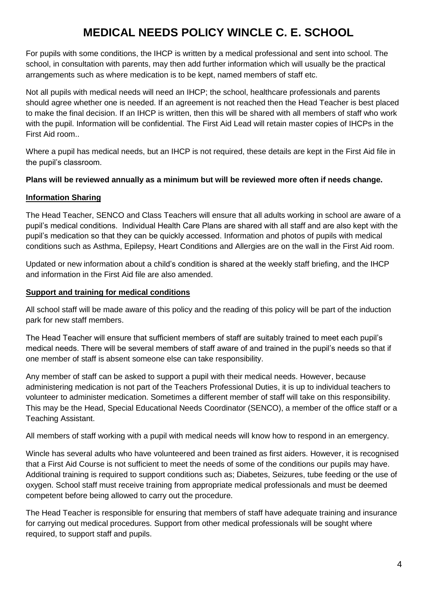For pupils with some conditions, the IHCP is written by a medical professional and sent into school. The school, in consultation with parents, may then add further information which will usually be the practical arrangements such as where medication is to be kept, named members of staff etc.

Not all pupils with medical needs will need an IHCP; the school, healthcare professionals and parents should agree whether one is needed. If an agreement is not reached then the Head Teacher is best placed to make the final decision. If an IHCP is written, then this will be shared with all members of staff who work with the pupil. Information will be confidential. The First Aid Lead will retain master copies of IHCPs in the First Aid room..

Where a pupil has medical needs, but an IHCP is not required, these details are kept in the First Aid file in the pupil's classroom.

#### **Plans will be reviewed annually as a minimum but will be reviewed more often if needs change.**

#### **Information Sharing**

The Head Teacher, SENCO and Class Teachers will ensure that all adults working in school are aware of a pupil's medical conditions. Individual Health Care Plans are shared with all staff and are also kept with the pupil's medication so that they can be quickly accessed. Information and photos of pupils with medical conditions such as Asthma, Epilepsy, Heart Conditions and Allergies are on the wall in the First Aid room.

Updated or new information about a child's condition is shared at the weekly staff briefing, and the IHCP and information in the First Aid file are also amended.

#### **Support and training for medical conditions**

All school staff will be made aware of this policy and the reading of this policy will be part of the induction park for new staff members.

The Head Teacher will ensure that sufficient members of staff are suitably trained to meet each pupil's medical needs. There will be several members of staff aware of and trained in the pupil's needs so that if one member of staff is absent someone else can take responsibility.

Any member of staff can be asked to support a pupil with their medical needs. However, because administering medication is not part of the Teachers Professional Duties, it is up to individual teachers to volunteer to administer medication. Sometimes a different member of staff will take on this responsibility. This may be the Head, Special Educational Needs Coordinator (SENCO), a member of the office staff or a Teaching Assistant.

All members of staff working with a pupil with medical needs will know how to respond in an emergency.

Wincle has several adults who have volunteered and been trained as first aiders. However, it is recognised that a First Aid Course is not sufficient to meet the needs of some of the conditions our pupils may have. Additional training is required to support conditions such as; Diabetes, Seizures, tube feeding or the use of oxygen. School staff must receive training from appropriate medical professionals and must be deemed competent before being allowed to carry out the procedure.

The Head Teacher is responsible for ensuring that members of staff have adequate training and insurance for carrying out medical procedures. Support from other medical professionals will be sought where required, to support staff and pupils.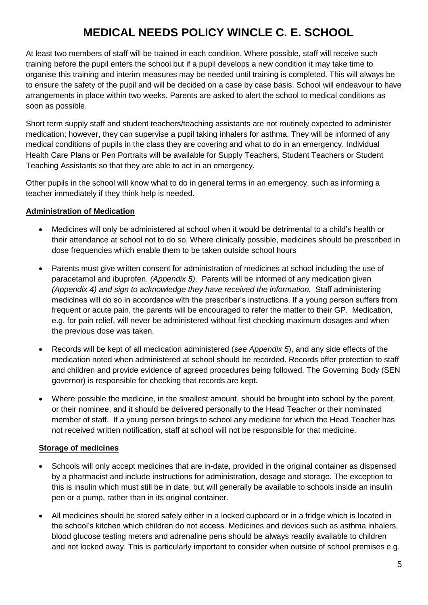At least two members of staff will be trained in each condition. Where possible, staff will receive such training before the pupil enters the school but if a pupil develops a new condition it may take time to organise this training and interim measures may be needed until training is completed. This will always be to ensure the safety of the pupil and will be decided on a case by case basis. School will endeavour to have arrangements in place within two weeks. Parents are asked to alert the school to medical conditions as soon as possible.

Short term supply staff and student teachers/teaching assistants are not routinely expected to administer medication; however, they can supervise a pupil taking inhalers for asthma. They will be informed of any medical conditions of pupils in the class they are covering and what to do in an emergency. Individual Health Care Plans or Pen Portraits will be available for Supply Teachers, Student Teachers or Student Teaching Assistants so that they are able to act in an emergency.

Other pupils in the school will know what to do in general terms in an emergency, such as informing a teacher immediately if they think help is needed.

#### **Administration of Medication**

- Medicines will only be administered at school when it would be detrimental to a child's health or their attendance at school not to do so. Where clinically possible, medicines should be prescribed in dose frequencies which enable them to be taken outside school hours
- Parents must give written consent for administration of medicines at school including the use of paracetamol and ibuprofen. *(Appendix 5)*. Parents will be informed of any medication given *(Appendix 4) and sign to acknowledge they have received the information.* Staff administering medicines will do so in accordance with the prescriber's instructions. If a young person suffers from frequent or acute pain, the parents will be encouraged to refer the matter to their GP. Medication, e.g. for pain relief, will never be administered without first checking maximum dosages and when the previous dose was taken.
- Records will be kept of all medication administered (*see Appendix 5*), and any side effects of the medication noted when administered at school should be recorded. Records offer protection to staff and children and provide evidence of agreed procedures being followed. The Governing Body (SEN governor) is responsible for checking that records are kept.
- Where possible the medicine, in the smallest amount, should be brought into school by the parent, or their nominee, and it should be delivered personally to the Head Teacher or their nominated member of staff. If a young person brings to school any medicine for which the Head Teacher has not received written notification, staff at school will not be responsible for that medicine.

#### **Storage of medicines**

- Schools will only accept medicines that are in-date, provided in the original container as dispensed by a pharmacist and include instructions for administration, dosage and storage. The exception to this is insulin which must still be in date, but will generally be available to schools inside an insulin pen or a pump, rather than in its original container.
- All medicines should be stored safely either in a locked cupboard or in a fridge which is located in the school's kitchen which children do not access. Medicines and devices such as asthma inhalers, blood glucose testing meters and adrenaline pens should be always readily available to children and not locked away. This is particularly important to consider when outside of school premises e.g.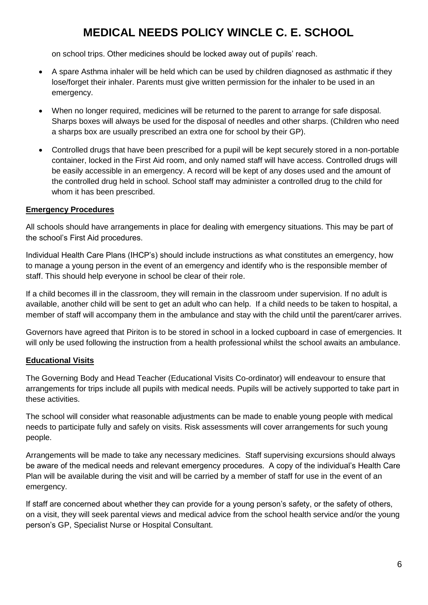on school trips. Other medicines should be locked away out of pupils' reach.

- A spare Asthma inhaler will be held which can be used by children diagnosed as asthmatic if they lose/forget their inhaler. Parents must give written permission for the inhaler to be used in an emergency.
- When no longer required, medicines will be returned to the parent to arrange for safe disposal. Sharps boxes will always be used for the disposal of needles and other sharps. (Children who need a sharps box are usually prescribed an extra one for school by their GP).
- Controlled drugs that have been prescribed for a pupil will be kept securely stored in a non-portable container, locked in the First Aid room, and only named staff will have access. Controlled drugs will be easily accessible in an emergency. A record will be kept of any doses used and the amount of the controlled drug held in school. School staff may administer a controlled drug to the child for whom it has been prescribed.

#### **Emergency Procedures**

All schools should have arrangements in place for dealing with emergency situations. This may be part of the school's First Aid procedures.

Individual Health Care Plans (IHCP's) should include instructions as what constitutes an emergency, how to manage a young person in the event of an emergency and identify who is the responsible member of staff. This should help everyone in school be clear of their role.

If a child becomes ill in the classroom, they will remain in the classroom under supervision. If no adult is available, another child will be sent to get an adult who can help. If a child needs to be taken to hospital, a member of staff will accompany them in the ambulance and stay with the child until the parent/carer arrives.

Governors have agreed that Piriton is to be stored in school in a locked cupboard in case of emergencies. It will only be used following the instruction from a health professional whilst the school awaits an ambulance.

#### **Educational Visits**

The Governing Body and Head Teacher (Educational Visits Co-ordinator) will endeavour to ensure that arrangements for trips include all pupils with medical needs. Pupils will be actively supported to take part in these activities.

The school will consider what reasonable adjustments can be made to enable young people with medical needs to participate fully and safely on visits. Risk assessments will cover arrangements for such young people.

Arrangements will be made to take any necessary medicines. Staff supervising excursions should always be aware of the medical needs and relevant emergency procedures. A copy of the individual's Health Care Plan will be available during the visit and will be carried by a member of staff for use in the event of an emergency.

If staff are concerned about whether they can provide for a young person's safety, or the safety of others, on a visit, they will seek parental views and medical advice from the school health service and/or the young person's GP, Specialist Nurse or Hospital Consultant.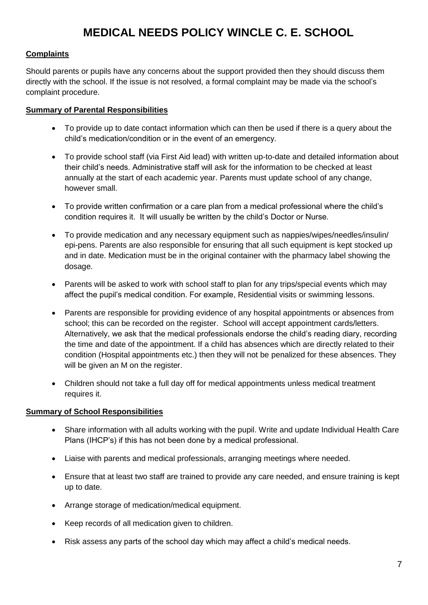#### **Complaints**

Should parents or pupils have any concerns about the support provided then they should discuss them directly with the school. If the issue is not resolved, a formal complaint may be made via the school's complaint procedure.

#### **Summary of Parental Responsibilities**

- To provide up to date contact information which can then be used if there is a query about the child's medication/condition or in the event of an emergency.
- To provide school staff (via First Aid lead) with written up-to-date and detailed information about their child's needs. Administrative staff will ask for the information to be checked at least annually at the start of each academic year. Parents must update school of any change, however small.
- To provide written confirmation or a care plan from a medical professional where the child's condition requires it. It will usually be written by the child's Doctor or Nurse.
- To provide medication and any necessary equipment such as nappies/wipes/needles/insulin/ epi-pens. Parents are also responsible for ensuring that all such equipment is kept stocked up and in date. Medication must be in the original container with the pharmacy label showing the dosage.
- Parents will be asked to work with school staff to plan for any trips/special events which may affect the pupil's medical condition. For example, Residential visits or swimming lessons.
- Parents are responsible for providing evidence of any hospital appointments or absences from school; this can be recorded on the register. School will accept appointment cards/letters. Alternatively, we ask that the medical professionals endorse the child's reading diary, recording the time and date of the appointment. If a child has absences which are directly related to their condition (Hospital appointments etc.) then they will not be penalized for these absences. They will be given an M on the register.
- Children should not take a full day off for medical appointments unless medical treatment requires it.

#### **Summary of School Responsibilities**

- Share information with all adults working with the pupil. Write and update Individual Health Care Plans (IHCP's) if this has not been done by a medical professional.
- Liaise with parents and medical professionals, arranging meetings where needed.
- Ensure that at least two staff are trained to provide any care needed, and ensure training is kept up to date.
- Arrange storage of medication/medical equipment.
- Keep records of all medication given to children.
- Risk assess any parts of the school day which may affect a child's medical needs.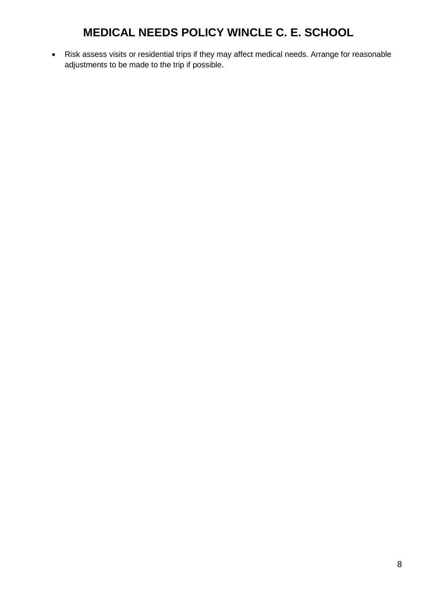• Risk assess visits or residential trips if they may affect medical needs. Arrange for reasonable adjustments to be made to the trip if possible.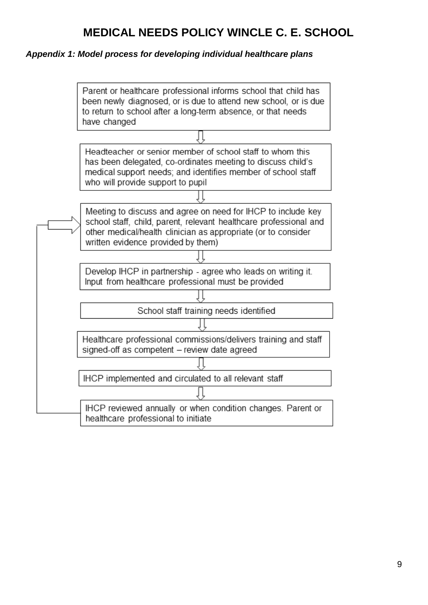#### *Appendix 1: Model process for developing individual healthcare plans*

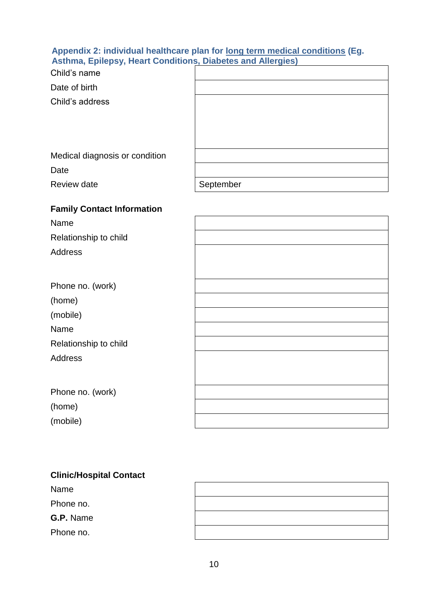#### **Appendix 2: individual healthcare plan for long term medical conditions (Eg. Asthma, Epilepsy, Heart Conditions, Diabetes and Allergies)**

| Child's name                      |           |
|-----------------------------------|-----------|
| Date of birth                     |           |
| Child's address                   |           |
|                                   |           |
|                                   |           |
|                                   |           |
| Medical diagnosis or condition    |           |
| Date                              |           |
| Review date                       | September |
| <b>Family Contact Information</b> |           |
| Name                              |           |
| Relationship to child             |           |

Address

| Phone no. (work)      |
|-----------------------|
| (home)                |
| (mobile)              |
| Name                  |
| Relationship to child |
| Address               |
|                       |

Phone no. (work)

(home)

(mobile)

## **Clinic/Hospital Contact**

Name Phone no. **G.P.** Name Phone no.

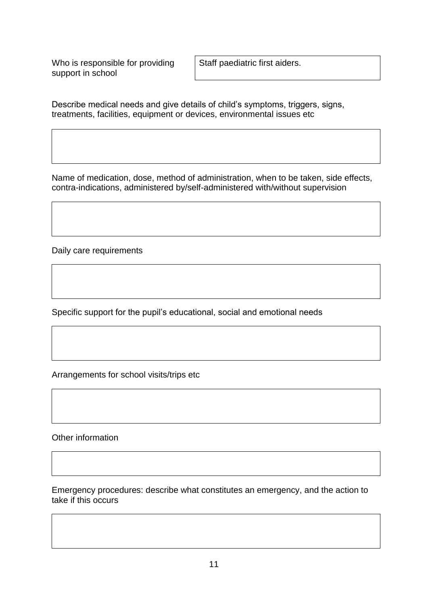Who is responsible for providing support in school

Staff paediatric first aiders.

Describe medical needs and give details of child's symptoms, triggers, signs, treatments, facilities, equipment or devices, environmental issues etc

Name of medication, dose, method of administration, when to be taken, side effects, contra-indications, administered by/self-administered with/without supervision

Daily care requirements

Specific support for the pupil's educational, social and emotional needs

Arrangements for school visits/trips etc

Other information

Emergency procedures: describe what constitutes an emergency, and the action to take if this occurs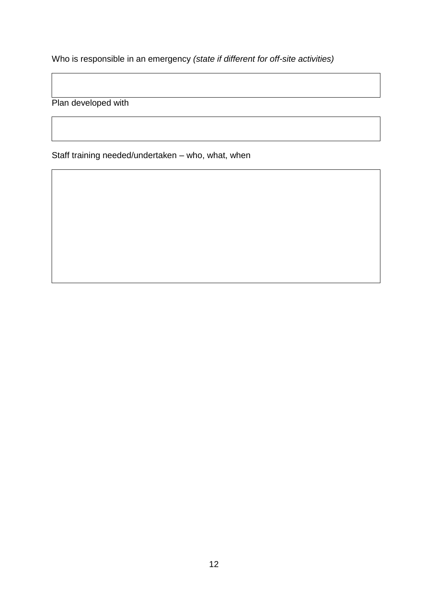Who is responsible in an emergency *(state if different for off-site activities)*

Plan developed with

Staff training needed/undertaken – who, what, when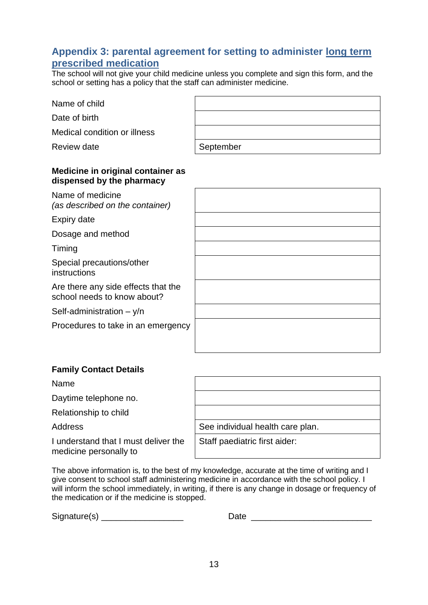#### **Appendix 3: parental agreement for setting to administer long term prescribed medication**

The school will not give your child medicine unless you complete and sign this form, and the school or setting has a policy that the staff can administer medicine.

| Medical condition or illness                                       |           |
|--------------------------------------------------------------------|-----------|
| Review date                                                        | September |
| Medicine in original container as<br>dispensed by the pharmacy     |           |
| Name of medicine<br>(as described on the container)                |           |
| Expiry date                                                        |           |
| Dosage and method                                                  |           |
| Timing                                                             |           |
| Special precautions/other<br>instructions                          |           |
| Are there any side effects that the<br>school needs to know about? |           |
| Self-administration $- y/n$                                        |           |
| Procedures to take in an emergency                                 |           |
|                                                                    |           |

#### **Family Contact Details**

Name

Name of child

Date of birth

Daytime telephone no.

Relationship to child

I understand that I must deliver the medicine personally to

|  | <u> 1989 - Andrea Andrew Maria (h. 1989).</u> |  |
|--|-----------------------------------------------|--|
|  |                                               |  |
|  |                                               |  |
|  |                                               |  |
|  |                                               |  |

Address See individual health care plan.

Staff paediatric first aider:

The above information is, to the best of my knowledge, accurate at the time of writing and I give consent to school staff administering medicine in accordance with the school policy. I will inform the school immediately, in writing, if there is any change in dosage or frequency of the medication or if the medicine is stopped.

Signature(s) \_\_\_\_\_\_\_\_\_\_\_\_\_\_\_\_\_ Date \_\_\_\_\_\_\_\_\_\_\_\_\_\_\_\_\_\_\_\_\_\_\_\_\_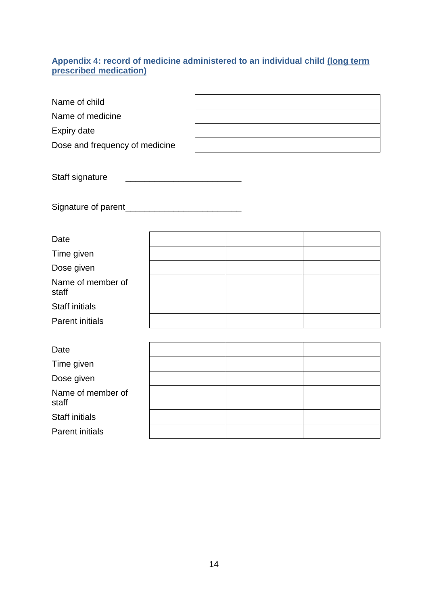#### **Appendix 4: record of medicine administered to an individual child (long term prescribed medication)**

| Name of child                  |  |  |  |
|--------------------------------|--|--|--|
| Name of medicine               |  |  |  |
| Expiry date                    |  |  |  |
| Dose and frequency of medicine |  |  |  |
|                                |  |  |  |
| Staff signature                |  |  |  |
|                                |  |  |  |
|                                |  |  |  |
|                                |  |  |  |
| Date                           |  |  |  |
| Time given                     |  |  |  |
| Dose given                     |  |  |  |
| Name of member of<br>staff     |  |  |  |
| <b>Staff initials</b>          |  |  |  |
| <b>Parent initials</b>         |  |  |  |
|                                |  |  |  |
| Date                           |  |  |  |
| Time given                     |  |  |  |
| Dose given                     |  |  |  |
| Name of member of<br>staff     |  |  |  |
| <b>Staff initials</b>          |  |  |  |
| <b>Parent initials</b>         |  |  |  |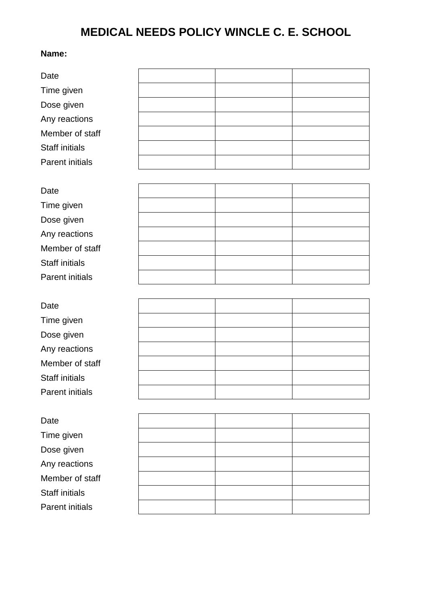#### **Name:**

| Date                   |  |  |
|------------------------|--|--|
| Time given             |  |  |
| Dose given             |  |  |
| Any reactions          |  |  |
| Member of staff        |  |  |
| <b>Staff initials</b>  |  |  |
| <b>Parent initials</b> |  |  |
|                        |  |  |
| Date                   |  |  |
| Time given             |  |  |
| Dose given             |  |  |
| Any reactions          |  |  |
| Member of staff        |  |  |
| <b>Staff initials</b>  |  |  |
| <b>Parent initials</b> |  |  |
|                        |  |  |
| Date                   |  |  |
| Time given             |  |  |
| Dose given             |  |  |
| Any reactions          |  |  |
| Member of staff        |  |  |
| Staff initials         |  |  |
| <b>Parent initials</b> |  |  |
|                        |  |  |
| Date                   |  |  |
| Time given             |  |  |
| Dose given             |  |  |
| Any reactions          |  |  |
| Member of staff        |  |  |
| Staff initials         |  |  |
| <b>Parent initials</b> |  |  |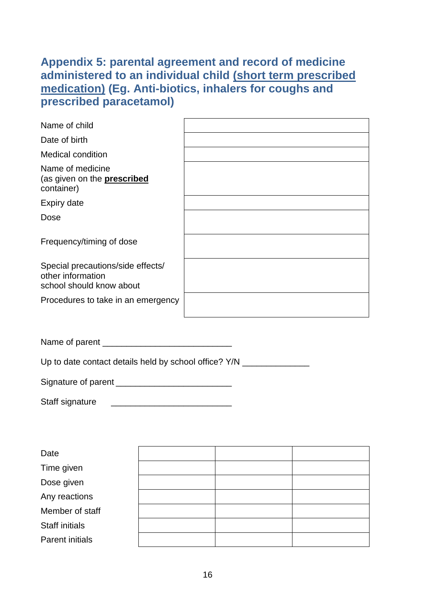### **Appendix 5: parental agreement and record of medicine administered to an individual child (short term prescribed medication) (Eg. Anti-biotics, inhalers for coughs and prescribed paracetamol)**

| Name of child                                                                      |  |
|------------------------------------------------------------------------------------|--|
| Date of birth                                                                      |  |
| <b>Medical condition</b>                                                           |  |
| Name of medicine<br>(as given on the <b>prescribed</b><br>container)               |  |
| <b>Expiry date</b>                                                                 |  |
| Dose                                                                               |  |
| Frequency/timing of dose                                                           |  |
| Special precautions/side effects/<br>other information<br>school should know about |  |
| Procedures to take in an emergency                                                 |  |

Name of parent \_\_\_\_\_\_\_\_\_\_\_\_\_\_\_\_\_\_\_\_\_\_\_\_\_\_\_

Up to date contact details held by school office? Y/N \_\_\_\_\_\_\_\_\_\_\_\_\_\_\_\_\_\_\_\_\_\_\_\_\_\_

Signature of parent **Exercise 20** 

Staff signature \_\_\_\_\_\_\_\_\_\_\_\_\_\_\_\_\_\_\_\_\_\_\_\_\_

| Date                   |  |  |
|------------------------|--|--|
| Time given             |  |  |
| Dose given             |  |  |
| Any reactions          |  |  |
| Member of staff        |  |  |
| <b>Staff initials</b>  |  |  |
| <b>Parent initials</b> |  |  |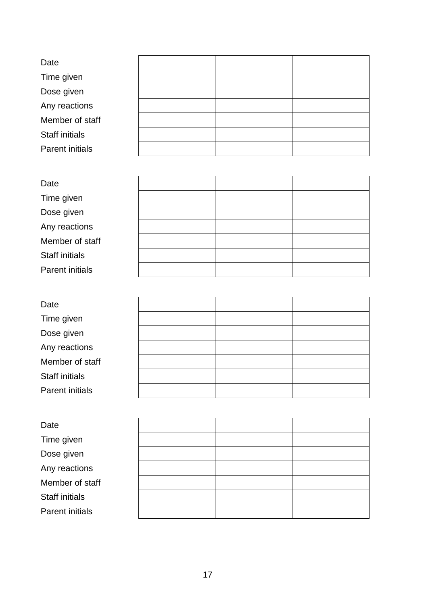| Date                   |  |  |
|------------------------|--|--|
| Time given             |  |  |
| Dose given             |  |  |
| Any reactions          |  |  |
| Member of staff        |  |  |
| <b>Staff initials</b>  |  |  |
| <b>Parent initials</b> |  |  |

| Date                   |  |  |
|------------------------|--|--|
| Time given             |  |  |
| Dose given             |  |  |
| Any reactions          |  |  |
| Member of staff        |  |  |
| <b>Staff initials</b>  |  |  |
| <b>Parent initials</b> |  |  |

| Date                   |  |  |
|------------------------|--|--|
| Time given             |  |  |
| Dose given             |  |  |
| Any reactions          |  |  |
| Member of staff        |  |  |
| <b>Staff initials</b>  |  |  |
| <b>Parent initials</b> |  |  |

| Date                   |  |  |
|------------------------|--|--|
| Time given             |  |  |
| Dose given             |  |  |
| Any reactions          |  |  |
| Member of staff        |  |  |
| <b>Staff initials</b>  |  |  |
| <b>Parent initials</b> |  |  |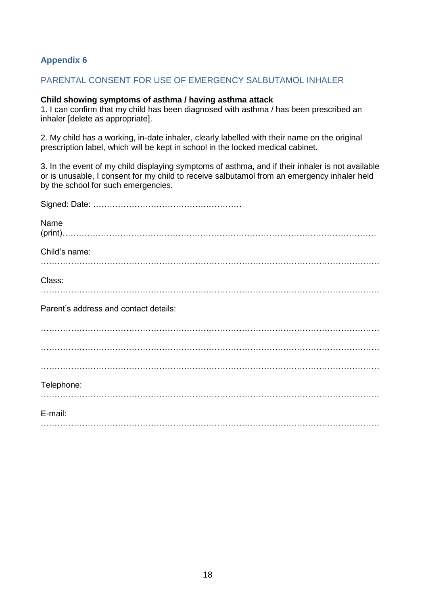#### **Appendix 6**

#### PARENTAL CONSENT FOR USE OF EMERGENCY SALBUTAMOL INHALER

#### **Child showing symptoms of asthma / having asthma attack**

1. I can confirm that my child has been diagnosed with asthma / has been prescribed an inhaler [delete as appropriate].

2. My child has a working, in-date inhaler, clearly labelled with their name on the original prescription label, which will be kept in school in the locked medical cabinet.

3. In the event of my child displaying symptoms of asthma, and if their inhaler is not available or is unusable, I consent for my child to receive salbutamol from an emergency inhaler held by the school for such emergencies.

| Name                                  |
|---------------------------------------|
| Child's name:                         |
| Class:                                |
| Parent's address and contact details: |
|                                       |
|                                       |
| Telephone:                            |
| E-mail:                               |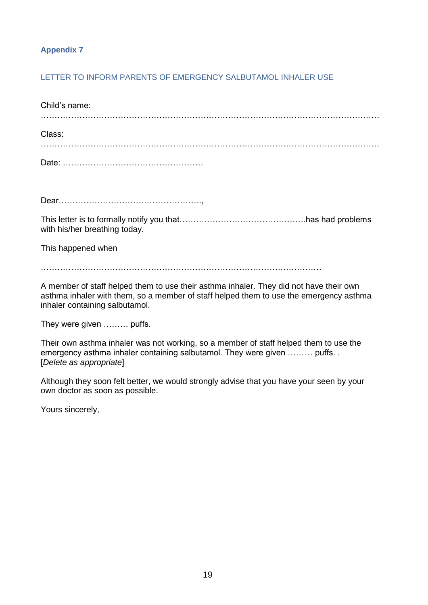#### **Appendix 7**

#### LETTER TO INFORM PARENTS OF EMERGENCY SALBUTAMOL INHALER USE

| Child's name: |  |
|---------------|--|
| Class:        |  |
|               |  |

Dear…………………………………………….,

This letter is to formally notify you that……………………………………….has had problems with his/her breathing today.

This happened when

…………………………………………………………………………………………

A member of staff helped them to use their asthma inhaler. They did not have their own asthma inhaler with them, so a member of staff helped them to use the emergency asthma inhaler containing salbutamol.

They were given ……… puffs.

Their own asthma inhaler was not working, so a member of staff helped them to use the emergency asthma inhaler containing salbutamol. They were given ……… puffs. . [*Delete as appropriate*]

Although they soon felt better, we would strongly advise that you have your seen by your own doctor as soon as possible.

Yours sincerely,